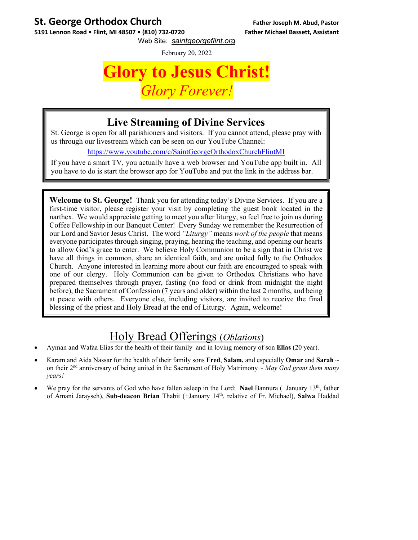## **St. George Orthodox Church Father Joseph M. Abud, Pastor**

**5191 Lennon Road • Flint, MI 48507 • (810) 732‐0720 Father Michael Bassett, Assistant** Web Site: *saintgeorgeflint.org*

February 20, 2022

## **Glory to Jesus Christ!**  *Glory Forever!*

### **Live Streaming of Divine Services**

St. George is open for all parishioners and visitors. If you cannot attend, please pray with us through our livestream which can be seen on our YouTube Channel:

https://www.youtube.com/c/SaintGeorgeOrthodoxChurchFlintMI

If you have a smart TV, you actually have a web browser and YouTube app built in. All you have to do is start the browser app for YouTube and put the link in the address bar.

**Welcome to St. George!** Thank you for attending today's Divine Services. If you are a first-time visitor, please register your visit by completing the guest book located in the narthex. We would appreciate getting to meet you after liturgy, so feel free to join us during Coffee Fellowship in our Banquet Center! Every Sunday we remember the Resurrection of our Lord and Savior Jesus Christ. The word *"Liturgy"* means *work of the people* that means everyone participates through singing, praying, hearing the teaching, and opening our hearts to allow God's grace to enter. We believe Holy Communion to be a sign that in Christ we have all things in common, share an identical faith, and are united fully to the Orthodox Church. Anyone interested in learning more about our faith are encouraged to speak with one of our clergy. Holy Communion can be given to Orthodox Christians who have prepared themselves through prayer, fasting (no food or drink from midnight the night before), the Sacrament of Confession (7 years and older) within the last 2 months, and being at peace with others. Everyone else, including visitors, are invited to receive the final blessing of the priest and Holy Bread at the end of Liturgy. Again, welcome!

## Holy Bread Offerings (*Oblations*)

- Ayman and Wafaa Elias for the health of their family and in loving memory of son **Elias** (20 year).
- Karam and Aida Nassar for the health of their family sons **Fred**, **Salam,** and especially **Omar** and **Sarah** ~ on their 2nd anniversary of being united in the Sacrament of Holy Matrimony ~ *May God grant them many years!*
- We pray for the servants of God who have fallen asleep in the Lord: **Nael** Bannura (+January 13<sup>th</sup>, father of Amani Jarayseh), **Sub-deacon Brian** Thabit (+January 14th, relative of Fr. Michael), **Salwa** Haddad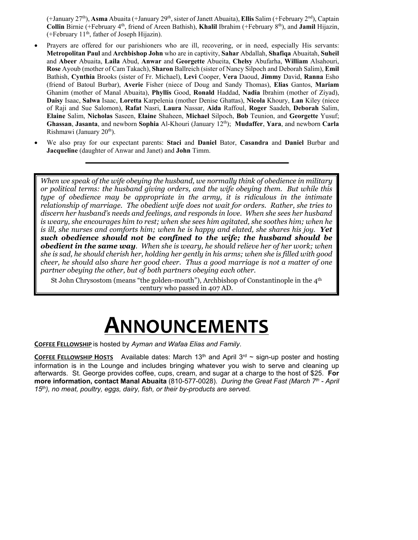(+January 27th), **Asma** Abuaita (+January 29th, sister of Janett Abuaita), **Ellis** Salim (+February 2nd), Captain Collin Birnie (+February 4<sup>th</sup>, friend of Areen Bathish), **Khalil** Ibrahim (+February 8<sup>th</sup>), and **Jamil** Hijazin, (+February 11th, father of Joseph Hijazin).

- Prayers are offered for our parishioners who are ill, recovering, or in need, especially His servants: **Metropolitan Paul** and **Archbishop John** who are in captivity, **Sahar** Abdallah, **Shafiqa** Abuaitah, **Suheil**  and **Abeer** Abuaita, **Laila** Abud, **Anwar** and **Georgette** Abueita, **Chelsy** Abufarha, **William** Alsahouri, **Rose** Ayoub (mother of Cam Takach), **Sharon** Ballreich (sister of Nancy Silpoch and Deborah Salim), **Emil** Bathish, **Cynthia** Brooks (sister of Fr. Michael), **Levi** Cooper, **Vera** Daoud, **Jimmy** David, **Ranna** Esho (friend of Batoul Burbar), **Averie** Fisher (niece of Doug and Sandy Thomas), **Elias** Gantos, **Mariam** Ghanim (mother of Manal Abuaita), **Phyllis** Good, **Ronald** Haddad, **Nadia** Ibrahim (mother of Ziyad), **Daisy** Isaac, **Salwa** Isaac, **Loretta** Karpelenia (mother Denise Ghattas), **Nicola** Khoury, **Lan** Kiley (niece of Raji and Sue Salomon), **Rafat** Nasri, **Laura** Nassar, **Aida** Raffoul, **Roger** Saadeh, **Deborah** Salim, **Elaine** Salim, **Nicholas** Saseen, **Elaine** Shaheen, **Michael** Silpoch, **Bob** Teunion, and **Georgette** Yusuf; **Ghassan**, **Jasanta**, and newborn **Sophia** Al-Khouri (January 12th); **Mudaffer**, **Yara**, and newborn **Carla** Rishmawi (January 20<sup>th</sup>).
- We also pray for our expectant parents: **Staci** and **Daniel** Bator, **Casandra** and **Daniel** Burbar and **Jacqueline** (daughter of Anwar and Janet) and **John** Timm.

*When we speak of the wife obeying the husband, we normally think of obedience in military or political terms: the husband giving orders, and the wife obeying them. But while this type of obedience may be appropriate in the army, it is ridiculous in the intimate relationship of marriage. The obedient wife does not wait for orders. Rather, she tries to discern her husband's needs and feelings, and responds in love. When she sees her husband is weary, she encourages him to rest; when she sees him agitated, she soothes him; when he is ill, she nurses and comforts him; when he is happy and elated, she shares his joy.* Yet *such obedience should not be confined to the wife; the husband should be obedient in the same way. When she is weary, he should relieve her of her work; when she is sad, he should cherish her, holding her gently in his arms; when she is filled with good cheer, he should also share her good cheer. Thus a good marriage is not a matter of one partner obeying the other, but of both partners obeying each other.* 

St John Chrysostom (means "the golden-mouth"), Archbishop of Constantinople in the 4th century who passed in 407 AD.

# **ANNOUNCEMENTS**

**COFFEE FELLOWSHIP** is hosted by *Ayman and Wafaa Elias and Family*.

**COFFEE FELLOWSHIP HOSTS** Available dates: March 13<sup>th</sup> and April 3<sup>rd</sup>  $\sim$  sign-up poster and hosting information is in the Lounge and includes bringing whatever you wish to serve and cleaning up afterwards. St. George provides coffee, cups, cream, and sugar at a charge to the host of \$25. **For more information, contact Manal Abuaita** (810-577-0028). *During the Great Fast (March 7th - April 15th), no meat, poultry, eggs, dairy, fish, or their by-products are served.*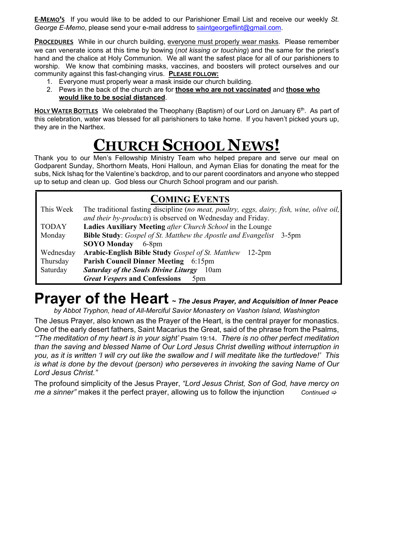**E‐MEMO'S** If you would like to be added to our Parishioner Email List and receive our weekly *St. George E-Memo*, please send your e-mail address to saintgeorgeflint@gmail.com.

**PROCEDURES** While in our church building, everyone must properly wear masks. Please remember we can venerate icons at this time by bowing (*not kissing or touching*) and the same for the priest's hand and the chalice at Holy Communion. We all want the safest place for all of our parishioners to worship. We know that combining masks, vaccines, and boosters will protect ourselves and our community against this fast-changing virus. **PLEASE FOLLOW:** 

- 1. Everyone must properly wear a mask inside our church building.
- 2. Pews in the back of the church are for **those who are not vaccinated** and **those who would like to be social distanced**.

HOLY WATER BOTTLES We celebrated the Theophany (Baptism) of our Lord on January 6<sup>th</sup>. As part of this celebration, water was blessed for all parishioners to take home. If you haven't picked yours up, they are in the Narthex.

# **CHURCH SCHOOL NEWS!**

Thank you to our Men's Fellowship Ministry Team who helped prepare and serve our meal on Godparent Sunday, Shorthorn Meats, Honi Halloun, and Ayman Elias for donating the meat for the subs, Nick Ishaq for the Valentine's backdrop, and to our parent coordinators and anyone who stepped up to setup and clean up. God bless our Church School program and our parish.

#### **COMING EVENTS** This Week The traditional fasting discipline (*no meat, poultry, eggs, dairy, fish, wine, olive oil, and their by-products*) is observed on Wednesday and Friday. TODAY **Ladies Auxiliary Meeting** *after Church School* in the Lounge Monday **Bible Study**: *Gospel of St. Matthew the Apostle and Evangelist* 3-5pm **SOYO Monday** 6-8pm Wednesday **Arabic-English Bible Study** *Gospel of St. Matthew* 12-2pm Thursday **Parish Council Dinner Meeting** 6:15pm Saturday *Saturday of the Souls Divine Liturgy* 10am *Great Vespers* **and Confessions** 5pm

# **Prayer of the Heart <sup>~</sup>** *The Jesus Prayer, and Acquisition of Inner Peace*

*by Abbot Tryphon, head of All-Merciful Savior Monastery on Vashon Island, Washington* 

The Jesus Prayer, also known as the Prayer of the Heart, is the central prayer for monastics. One of the early desert fathers, Saint Macarius the Great, said of the phrase from the Psalms, *"'The meditation of my heart is in your sight'* Psalm 19:14. *There is no other perfect meditation than the saving and blessed Name of Our Lord Jesus Christ dwelling without interruption in you, as it is written 'I will cry out like the swallow and I will meditate like the turtledove!' This is what is done by the devout (person) who perseveres in invoking the saving Name of Our Lord Jesus Christ."*

The profound simplicity of the Jesus Prayer, *"Lord Jesus Christ, Son of God, have mercy on me a sinner"* makes it the perfect prayer, allowing us to follow the injunction *Continued*